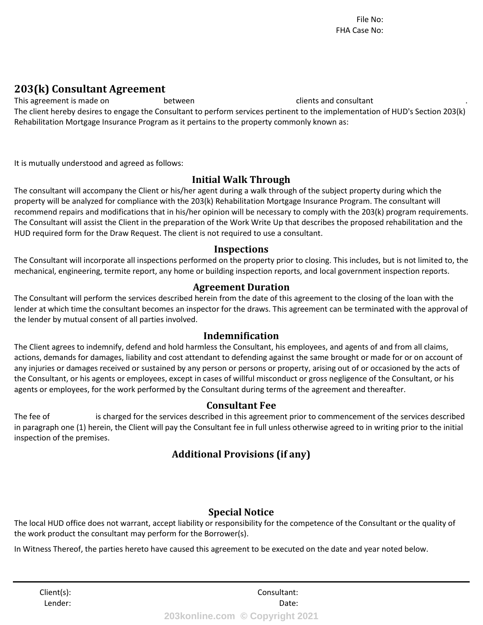## **203(k) Consultant Agreement**

This agreement is made on 6/30/2009 between WILLIAM AND MARY ANN MONROE clients and consultant MIKE YOUNG The client hereby desires to engage the Consultant to perform services pertinent to the implementation of HUD's Section 203(k) Rehabilitation Mortgage Insurance Program as it pertains to the property commonly known as:

It is mutually understood and agreed as follows:

### **Initial Walk Through**

The consultant will accompany the Client or his/her agent during a walk through of the subject property during which the property will be analyzed for compliance with the 203(k) Rehabilitation Mortgage Insurance Program. The consultant will recommend repairs and modifications that in his/her opinion will be necessary to comply with the 203(k) program requirements. The Consultant will assist the Client in the preparation of the Work Write Up that describes the proposed rehabilitation and the HUD required form for the Draw Request. The client is not required to use a consultant. The Kangreyouks TEAM<br>
The Kangreyouks TEAM<br>
Season Five Reserves Former Summarized Constant Agreement<br>
to Associates, No among<br>
The Kangrey Constant Agreement<br>
to the season constant and constant of the Columbus<br>
term is t

### **Inspections**

The Consultant will incorporate all inspections performed on the property prior to closing. This includes, but is not limited to, the mechanical, engineering, termite report, any home or building inspection reports, and local government inspection reports.

### **Agreement Duration**

The Consultant will perform the services described herein from the date of this agreement to the closing of the loan with the lender at which time the consultant becomes an inspector for the draws. This agreement can be terminated with the approval of the lender by mutual consent of all parties involved.

### **Indemnification**

The Client agrees to indemnify, defend and hold harmless the Consultant, his employees, and agents of and from all claims, actions, demands for damages, liability and cost attendant to defending against the same brought or made for or on account of any injuries or damages received or sustained by any person or persons or property, arising out of or occasioned by the acts of the Consultant, or his agents or employees, except in cases of willful misconduct or gross negligence of the Consultant, or his agents or employees, for the work performed by the Consultant during terms of the agreement and thereafter.

### **Consultant Fee**

The fee of \$927.50 is charged for the services described in this agreement prior to commencement of the services described in paragraph one (1) herein, the Client will pay the Consultant fee in full unless otherwise agreed to in writing prior to the initial inspection of the premises.

### **Additional Provisions (if any)**

IF THE AMOUNT CHARGED IS DIFFERENT THAN THE HUD GUIDELINE FOR CHARGES THE DIFFERENCE WILL BE ADJUSTED IN ESCROW.

### **Special Notice**

The local HUD office does not warrant, accept liability or responsibility for the competence of the Consultant or the quality of the work product the consultant may perform for the Borrower(s).

In Witness Thereof, the parties hereto have caused this agreement to be executed on the date and year noted below.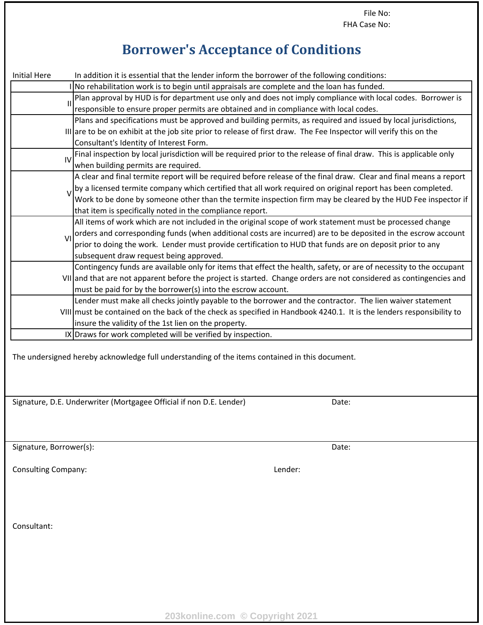# **Borrower's Acceptance of Conditions**

| THE MIKE YOUNG TEAM        |                                                                                                                      | File No: H906296                                                                                                    |  |  |  |  |
|----------------------------|----------------------------------------------------------------------------------------------------------------------|---------------------------------------------------------------------------------------------------------------------|--|--|--|--|
|                            |                                                                                                                      | FHA Case No: 042-1234567                                                                                            |  |  |  |  |
|                            | <b>Borrower's Acceptance of Conditions</b>                                                                           |                                                                                                                     |  |  |  |  |
| <b>Initial Here</b>        | In addition it is essential that the lender inform the borrower of the following conditions:                         |                                                                                                                     |  |  |  |  |
|                            | No rehabilitation work is to begin until appraisals are complete and the loan has funded.                            |                                                                                                                     |  |  |  |  |
|                            |                                                                                                                      | Plan approval by HUD is for department use only and does not imply compliance with local codes. Borrower is         |  |  |  |  |
|                            | responsible to ensure proper permits are obtained and in compliance with local codes.                                |                                                                                                                     |  |  |  |  |
|                            |                                                                                                                      | Plans and specifications must be approved and building permits, as required and issued by local jurisdictions,      |  |  |  |  |
|                            |                                                                                                                      | III are to be on exhibit at the job site prior to release of first draw. The Fee Inspector will verify this on the  |  |  |  |  |
|                            | Consultant's Identity of Interest Form.                                                                              |                                                                                                                     |  |  |  |  |
| $\mathsf{I}\mathsf{V}$     |                                                                                                                      | Final inspection by local jurisdiction will be required prior to the release of final draw. This is applicable only |  |  |  |  |
|                            | when building permits are required.                                                                                  |                                                                                                                     |  |  |  |  |
|                            |                                                                                                                      | A clear and final termite report will be required before release of the final draw. Clear and final means a report  |  |  |  |  |
|                            |                                                                                                                      | by a licensed termite company which certified that all work required on original report has been completed.         |  |  |  |  |
|                            |                                                                                                                      | Work to be done by someone other than the termite inspection firm may be cleared by the HUD Fee inspector if        |  |  |  |  |
|                            | that item is specifically noted in the compliance report.                                                            |                                                                                                                     |  |  |  |  |
|                            |                                                                                                                      | All items of work which are not included in the original scope of work statement must be processed change           |  |  |  |  |
| V <sub>l</sub>             | orders and corresponding funds (when additional costs are incurred) are to be deposited in the escrow account        |                                                                                                                     |  |  |  |  |
|                            |                                                                                                                      | prior to doing the work. Lender must provide certification to HUD that funds are on deposit prior to any            |  |  |  |  |
|                            | subsequent draw request being approved.                                                                              |                                                                                                                     |  |  |  |  |
|                            |                                                                                                                      | Contingency funds are available only for items that effect the health, safety, or are of necessity to the occupant  |  |  |  |  |
|                            |                                                                                                                      | VII and that are not apparent before the project is started. Change orders are not considered as contingencies and  |  |  |  |  |
|                            | must be paid for by the borrower(s) into the escrow account.                                                         |                                                                                                                     |  |  |  |  |
|                            |                                                                                                                      | Lender must make all checks jointly payable to the borrower and the contractor. The lien waiver statement           |  |  |  |  |
|                            | VIII must be contained on the back of the check as specified in Handbook 4240.1. It is the lenders responsibility to |                                                                                                                     |  |  |  |  |
|                            | insure the validity of the 1st lien on the property.                                                                 |                                                                                                                     |  |  |  |  |
|                            | IX Draws for work completed will be verified by inspection.                                                          |                                                                                                                     |  |  |  |  |
|                            | The undersigned hereby acknowledge full understanding of the items contained in this document.                       |                                                                                                                     |  |  |  |  |
|                            | Signature, D.E. Underwriter (Mortgagee Official if non D.E. Lender)                                                  | Date:                                                                                                               |  |  |  |  |
|                            |                                                                                                                      |                                                                                                                     |  |  |  |  |
|                            | Signature, Borrower(s): WILLIAM AND MARY ANN MONROE                                                                  | Date:                                                                                                               |  |  |  |  |
| <b>Consulting Company:</b> |                                                                                                                      | Lender:                                                                                                             |  |  |  |  |
|                            | THE MIKE YOUNG TEAM                                                                                                  | <b>MERCURY MORTGAGE</b>                                                                                             |  |  |  |  |
|                            | 4350 MAIN STREET, SUITE 215                                                                                          | 123 ANY STREET                                                                                                      |  |  |  |  |
|                            | HARRISBURG, NC 28075                                                                                                 | MONROVIA, CA 93254                                                                                                  |  |  |  |  |
|                            |                                                                                                                      |                                                                                                                     |  |  |  |  |
| Consultant: MIKE YOUNG ()  |                                                                                                                      |                                                                                                                     |  |  |  |  |
|                            |                                                                                                                      |                                                                                                                     |  |  |  |  |
|                            |                                                                                                                      |                                                                                                                     |  |  |  |  |
|                            |                                                                                                                      |                                                                                                                     |  |  |  |  |
|                            |                                                                                                                      |                                                                                                                     |  |  |  |  |
|                            |                                                                                                                      |                                                                                                                     |  |  |  |  |
|                            |                                                                                                                      |                                                                                                                     |  |  |  |  |
|                            |                                                                                                                      |                                                                                                                     |  |  |  |  |
|                            | 203konline.com © Copyright 2021                                                                                      |                                                                                                                     |  |  |  |  |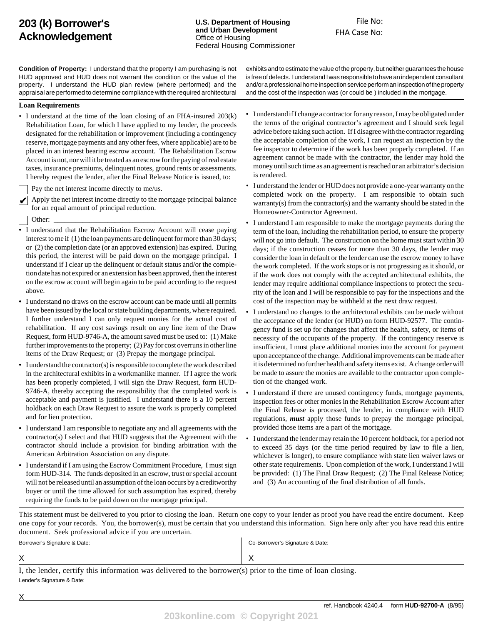**U.S. Department of Housing and Urban Development** Office of Housing Federal Housing Commissioner

**Condition of Property:** I understand that the property I am purchasing is not HUD approved and HUD does not warrant the condition or the value of the property. I understand the HUD plan review (where performed) and the appraisal are performed to determine compliance with the required architectural

exhibits and to estimate the value of the property, but neither guarantees the house is free of defects. I understand I was responsible to have an independent consultant and/or a professional home inspection service perform an inspection of the property and the cost of the inspection was (or could be ) included in the mortgage.

#### **Loan Requirements**

- I understand at the time of the loan closing of an FHA-insured 203(k) Rehabilitation Loan, for which I have applied to my lender, the proceeds designated for the rehabilitation or improvement (including a contingency reserve, mortgage payments and any other fees, where applicable) are to be placed in an interest bearing escrow account. The Rehabilitation Escrow Account is not, nor will it be treated as an escrow for the paying of real estate taxes, insurance premiums, delinquent notes, ground rents or assessments. I hereby request the lender, after the Final Release Notice is issued, to:
	- Pay the net interest income directly to me/us.

Apply the net interest income directly to the mortgage principal balance for an equal amount of principal reduction.

Other: \_\_\_\_\_\_\_\_\_\_\_\_\_\_\_\_\_\_\_\_\_\_\_\_\_\_\_\_\_\_\_\_\_\_\_\_\_\_\_\_\_\_\_\_\_\_\_\_\_

X

- **•** I understand that the Rehabilitation Escrow Account will cease paying interest to me if (1) the loan payments are delinquent for more than 30 days; or (2) the completion date (or an approved extension) has expired. During this period, the interest will be paid down on the mortgage principal. I understand if I clear up the delinquent or default status and/or the completion date has not expired or an extension has been approved, then the interest on the escrow account will begin again to be paid according to the request above.
- **•** I understand no draws on the escrow account can be made until all permits have been issued by the local or state building departments, where required. I further understand I can only request monies for the actual cost of rehabilitation. If any cost savings result on any line item of the Draw Request, form HUD-9746-A, the amount saved must be used to: (1) Make further improvements to the property; (2) Pay for cost overruns in other line items of the Draw Request; or (3) Prepay the mortgage principal.
- **•** I understand the contractor(s) is responsible to complete the work described in the architectural exhibits in a workmanlike manner. If I agree the work has been properly completed, I will sign the Draw Request, form HUD-9746-A, thereby accepting the responsibility that the completed work is acceptable and payment is justified. I understand there is a 10 percent holdback on each Draw Request to assure the work is properly completed and for lien protection.
- **•** I understand I am responsible to negotiate any and all agreements with the contractor(s) I select and that HUD suggests that the Agreement with the contractor should include a provision for binding arbitration with the American Arbitration Association on any dispute.
- **•** I understand if I am using the Escrow Commitment Procedure, I must sign form HUD-314. The funds deposited in an escrow, trust or special account will not be released until an assumption of the loan occurs by a creditworthy buyer or until the time allowed for such assumption has expired, thereby requiring the funds to be paid down on the mortgage principal.
- **•** I understand if I change a contractor for any reason, I may be obligated under the terms of the original contractor's agreement and I should seek legal advice before taking such action. If I disagree with the contractor regarding the acceptable completion of the work, I can request an inspection by the fee inspector to determine if the work has been properly completed. If an agreement cannot be made with the contractor, the lender may hold the money until such time as an agreement is reached or an arbitrator's decision is rendered.
- I understand the lender or HUD does not provide a one-year warranty on the completed work on the property. I am responsible to obtain such warranty(s) from the contractor(s) and the warranty should be stated in the Homeowner-Contractor Agreement.
- **•** I understand I am responsible to make the mortgage payments during the term of the loan, including the rehabilitation period, to ensure the property will not go into default. The construction on the home must start within 30 days; if the construction ceases for more than 30 days, the lender may consider the loan in default or the lender can use the escrow money to have the work completed. If the work stops or is not progressing as it should, or if the work does not comply with the accepted architectural exhibits, the lender may require additional compliance inspections to protect the security of the loan and I will be responsible to pay for the inspections and the cost of the inspection may be withheld at the next draw request. **2003konline and the component of the component of the component of the component of the component of the component of the component of the component of the component of the component of the component of the component of t** 
	- **•** I understand no changes to the architectural exhibits can be made without the acceptance of the lender (or HUD) on form HUD-92577. The contingency fund is set up for changes that affect the health, safety, or items of necessity of the occupants of the property. If the contingency reserve is insufficient, I must place additional monies into the account for payment upon acceptance of the change. Additional improvements can be made after it is determined no further health and safety items exist. A change order will be made to assure the monies are available to the contractor upon completion of the changed work.
	- **•** I understand if there are unused contingency funds, mortgage payments, inspection fees or other monies in the Rehabilitation Escrow Account after the Final Release is processed, the lender, in compliance with HUD regulations, *must* apply those funds to prepay the mortgage principal, provided those items are a part of the mortgage.
	- I understand the lender may retain the 10 percent holdback, for a period not to exceed 35 days (or the time period required by law to file a lien, whichever is longer), to ensure compliance with state lien waiver laws or other state requirements. Upon completion of the work, I understand I will be provided: (1) The Final Draw Request; (2) The Final Release Notice; and (3) An accounting of the final distribution of all funds.

This statement must be delivered to you prior to closing the loan. Return one copy to your lender as proof you have read the entire document. Keep one copy for your records. You, the borrower(s), must be certain that you understand this information. Sign here only after you have read this entire document. Seek professional advice if you are uncertain.

| Borrower's Signature & Date: WILLIAM AND MARY ANN MONROE |
|----------------------------------------------------------|
|----------------------------------------------------------|

 $\boldsymbol{\mathsf{X}}$  x  $\boldsymbol{\mathsf{X}}$ 

Co-Borrower's Signature & Date:

| I, the lender, certify this information was delivered to the borrower(s) prior to the time of loan closing. |  |  |  |  |
|-------------------------------------------------------------------------------------------------------------|--|--|--|--|
| Lender's Signature & Date:                                                                                  |  |  |  |  |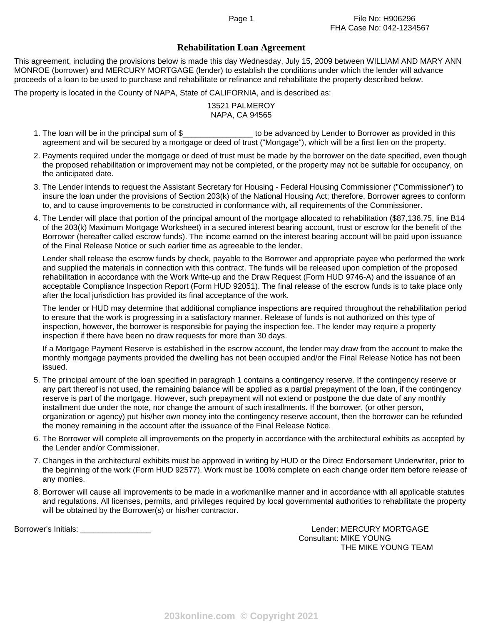### **Rehabilitation Loan Agreement**

This agreement, including the provisions below is made this day Wednesday, July 15, 2009 between WILLIAM AND MARY ANN MONROE (borrower) and MERCURY MORTGAGE (lender) to establish the conditions under which the lender will advance proceeds of a loan to be used to purchase and rehabilitate or refinance and rehabilitate the property described below.

The property is located in the County of NAPA, State of CALIFORNIA, and is described as:

#### 13521 PALMEROY NAPA, CA 94565

- 1. The loan will be in the principal sum of \$\_\_\_\_\_\_\_\_\_\_\_\_\_\_\_\_ to be advanced by Lender to Borrower as provided in this agreement and will be secured by a mortgage or deed of trust ("Mortgage"), which will be a first lien on the property.
- 2. Payments required under the mortgage or deed of trust must be made by the borrower on the date specified, even though the proposed rehabilitation or improvement may not be completed, or the property may not be suitable for occupancy, on the anticipated date.
- 3. The Lender intends to request the Assistant Secretary for Housing Federal Housing Commissioner ("Commissioner") to insure the loan under the provisions of Section 203(k) of the National Housing Act; therefore, Borrower agrees to conform to, and to cause improvements to be constructed in conformance with, all requirements of the Commissioner.
- 4. The Lender will place that portion of the principal amount of the mortgage allocated to rehabilitation (\$87,136.75, line B14 of the 203(k) Maximum Mortgage Worksheet) in a secured interest bearing account, trust or escrow for the benefit of the Borrower (hereafter called escrow funds). The income earned on the interest bearing account will be paid upon issuance of the Final Release Notice or such earlier time as agreeable to the lender.

Lender shall release the escrow funds by check, payable to the Borrower and appropriate payee who performed the work and supplied the materials in connection with this contract. The funds will be released upon completion of the proposed rehabilitation in accordance with the Work Write-up and the Draw Request (Form HUD 9746-A) and the issuance of an acceptable Compliance Inspection Report (Form HUD 92051). The final release of the escrow funds is to take place only after the local jurisdiction has provided its final acceptance of the work.

The lender or HUD may determine that additional compliance inspections are required throughout the rehabilitation period to ensure that the work is progressing in a satisfactory manner. Release of funds is not authorized on this type of inspection, however, the borrower is responsible for paying the inspection fee. The lender may require a property inspection if there have been no draw requests for more than 30 days.

If a Mortgage Payment Reserve is established in the escrow account, the lender may draw from the account to make the monthly mortgage payments provided the dwelling has not been occupied and/or the Final Release Notice has not been issued.

- 5. The principal amount of the loan specified in paragraph 1 contains a contingency reserve. If the contingency reserve or any part thereof is not used, the remaining balance will be applied as a partial prepayment of the loan, if the contingency reserve is part of the mortgage. However, such prepayment will not extend or postpone the due date of any monthly installment due under the note, nor change the amount of such installments. If the borrower, (or other person, organization or agency) put his/her own money into the contingency reserve account, then the borrower can be refunded the money remaining in the account after the issuance of the Final Release Notice.
- 6. The Borrower will complete all improvements on the property in accordance with the architectural exhibits as accepted by the Lender and/or Commissioner.
- 7. Changes in the architectural exhibits must be approved in writing by HUD or the Direct Endorsement Underwriter, prior to the beginning of the work (Form HUD 92577). Work must be 100% complete on each change order item before release of any monies.
- 8. Borrower will cause all improvements to be made in a workmanlike manner and in accordance with all applicable statutes and regulations. All licenses, permits, and privileges required by local governmental authorities to rehabilitate the property will be obtained by the Borrower(s) or his/her contractor.

Borrower's Initials: \_\_\_\_\_\_\_\_\_\_\_\_\_\_\_\_ Lender: MERCURY MORTGAGE Consultant: MIKE YOUNG THE MIKE YOUNG TEAM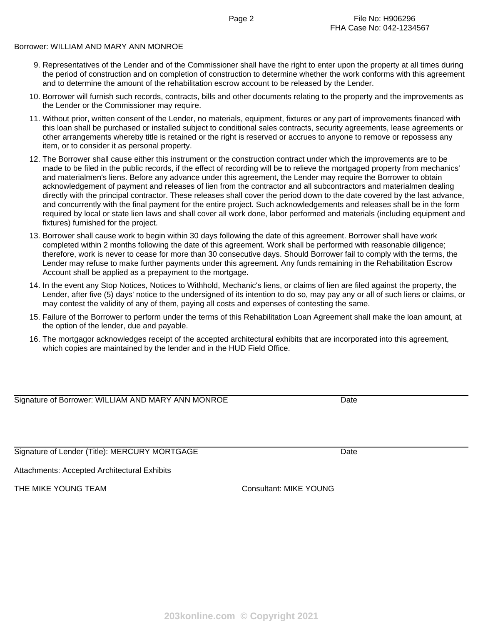### Borrower: WILLIAM AND MARY ANN MONROE

- 9. Representatives of the Lender and of the Commissioner shall have the right to enter upon the property at all times during the period of construction and on completion of construction to determine whether the work conforms with this agreement and to determine the amount of the rehabilitation escrow account to be released by the Lender.
- 10. Borrower will furnish such records, contracts, bills and other documents relating to the property and the improvements as the Lender or the Commissioner may require.
- 11. Without prior, written consent of the Lender, no materials, equipment, fixtures or any part of improvements financed with this loan shall be purchased or installed subject to conditional sales contracts, security agreements, lease agreements or other arrangements whereby title is retained or the right is reserved or accrues to anyone to remove or repossess any item, or to consider it as personal property.
- 12. The Borrower shall cause either this instrument or the construction contract under which the improvements are to be made to be filed in the public records, if the effect of recording will be to relieve the mortgaged property from mechanics' and materialmen's liens. Before any advance under this agreement, the Lender may require the Borrower to obtain acknowledgement of payment and releases of lien from the contractor and all subcontractors and materialmen dealing directly with the principal contractor. These releases shall cover the period down to the date covered by the last advance, and concurrently with the final payment for the entire project. Such acknowledgements and releases shall be in the form required by local or state lien laws and shall cover all work done, labor performed and materials (including equipment and fixtures) furnished for the project.
- 13. Borrower shall cause work to begin within 30 days following the date of this agreement. Borrower shall have work completed within 2 months following the date of this agreement. Work shall be performed with reasonable diligence; therefore, work is never to cease for more than 30 consecutive days. Should Borrower fail to comply with the terms, the Lender may refuse to make further payments under this agreement. Any funds remaining in the Rehabilitation Escrow Account shall be applied as a prepayment to the mortgage.
- 14. In the event any Stop Notices, Notices to Withhold, Mechanic's liens, or claims of lien are filed against the property, the Lender, after five (5) days' notice to the undersigned of its intention to do so, may pay any or all of such liens or claims, or may contest the validity of any of them, paying all costs and expenses of contesting the same.
- 15. Failure of the Borrower to perform under the terms of this Rehabilitation Loan Agreement shall make the loan amount, at the option of the lender, due and payable.
- 16. The mortgagor acknowledges receipt of the accepted architectural exhibits that are incorporated into this agreement, which copies are maintained by the lender and in the HUD Field Office.

Signature of Borrower: WILLIAM AND MARY ANN MONROE Date

Signature of Lender (Title): MERCURY MORTGAGE National According to the United States of Lender (Title): N

Attachments: Accepted Architectural Exhibits

THE MIKE YOUNG TEAM CONSULTANT CONSULTANT CONSULTANT CONSULTANT CONSULTANT CONSULTANT CONSULTANT CONSULTANT CONSULTANT CONSULTANT CONSULTANT CONSULTANT CONSULTANT CONSULTANT CONSULTANT CONSULTANT CONSULTANT CONSULTANT CONS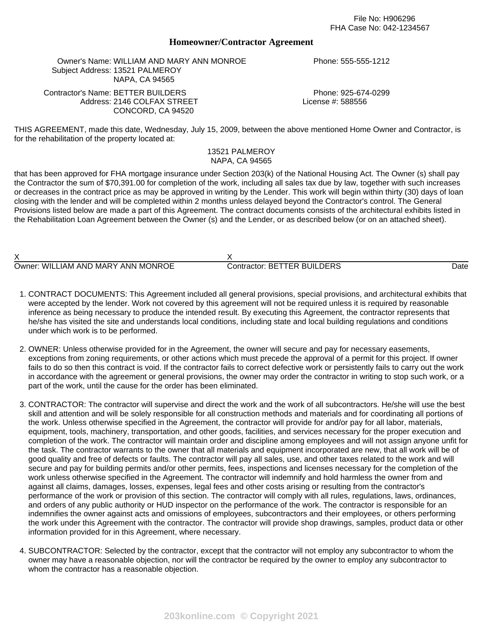#### **Homeowner/Contractor Agreement**

Owner's Name: Phone: 555-555-1212 WILLIAM AND MARY ANN MONROE Subject Address: 13521 PALMEROY NAPA, CA 94565

Contractor's Name: BETTER BUILDERS Address: 2146 COLFAX STREET CONCORD, CA 94520

Phone: 925-674-0299 License #: 588556

THIS AGREEMENT, made this date, Wednesday, July 15, 2009, between the above mentioned Home Owner and Contractor, is for the rehabilitation of the property located at:

#### 13521 PALMEROY NAPA, CA 94565

that has been approved for FHA mortgage insurance under Section 203(k) of the National Housing Act. The Owner (s) shall pay the Contractor the sum of \$70,391.00 for completion of the work, including all sales tax due by law, together with such increases or decreases in the contract price as may be approved in writing by the Lender. This work will begin within thirty (30) days of loan closing with the lender and will be completed within 2 months unless delayed beyond the Contractor's control. The General Provisions listed below are made a part of this Agreement. The contract documents consists of the architectural exhibits listed in the Rehabilitation Loan Agreement between the Owner (s) and the Lender, or as described below (or on an attached sheet).

| Owner: WILLIAM AND MARY ANN MONROE | <b>Contractor: BETTER BUILDERS</b> | Date |
|------------------------------------|------------------------------------|------|

- 1. CONTRACT DOCUMENTS: This Agreement included all general provisions, special provisions, and architectural exhibits that were accepted by the lender. Work not covered by this agreement will not be required unless it is required by reasonable inference as being necessary to produce the intended result. By executing this Agreement, the contractor represents that he/she has visited the site and understands local conditions, including state and local building regulations and conditions under which work is to be performed.
- 2. OWNER: Unless otherwise provided for in the Agreement, the owner will secure and pay for necessary easements, exceptions from zoning requirements, or other actions which must precede the approval of a permit for this project. If owner fails to do so then this contract is void. If the contractor fails to correct defective work or persistently fails to carry out the work in accordance with the agreement or general provisions, the owner may order the contractor in writing to stop such work, or a part of the work, until the cause for the order has been eliminated.
- 3. CONTRACTOR: The contractor will supervise and direct the work and the work of all subcontractors. He/she will use the best skill and attention and will be solely responsible for all construction methods and materials and for coordinating all portions of the work. Unless otherwise specified in the Agreement, the contractor will provide for and/or pay for all labor, materials, equipment, tools, machinery, transportation, and other goods, facilities, and services necessary for the proper execution and completion of the work. The contractor will maintain order and discipline among employees and will not assign anyone unfit for the task. The contractor warrants to the owner that all materials and equipment incorporated are new, that all work will be of good quality and free of defects or faults. The contractor will pay all sales, use, and other taxes related to the work and will secure and pay for building permits and/or other permits, fees, inspections and licenses necessary for the completion of the work unless otherwise specified in the Agreement. The contractor will indemnify and hold harmless the owner from and against all claims, damages, losses, expenses, legal fees and other costs arising or resulting from the contractor's performance of the work or provision of this section. The contractor will comply with all rules, regulations, laws, ordinances, and orders of any public authority or HUD inspector on the performance of the work. The contractor is responsible for an indemnifies the owner against acts and omissions of employees, subcontractors and their employees, or others performing the work under this Agreement with the contractor. The contractor will provide shop drawings, samples, product data or other information provided for in this Agreement, where necessary.
- 4. SUBCONTRACTOR: Selected by the contractor, except that the contractor will not employ any subcontractor to whom the owner may have a reasonable objection, nor will the contractor be required by the owner to employ any subcontractor to whom the contractor has a reasonable objection.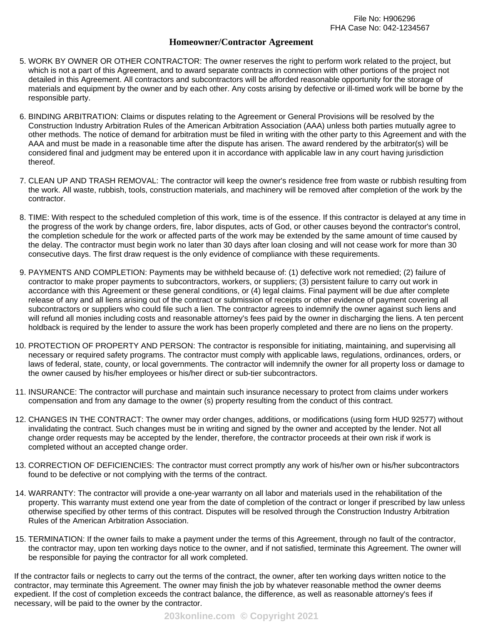#### **Homeowner/Contractor Agreement**

- 5. WORK BY OWNER OR OTHER CONTRACTOR: The owner reserves the right to perform work related to the project, but which is not a part of this Agreement, and to award separate contracts in connection with other portions of the project not detailed in this Agreement. All contractors and subcontractors will be afforded reasonable opportunity for the storage of materials and equipment by the owner and by each other. Any costs arising by defective or ill-timed work will be borne by the responsible party.
- 6. BINDING ARBITRATION: Claims or disputes relating to the Agreement or General Provisions will be resolved by the Construction Industry Arbitration Rules of the American Arbitration Association (AAA) unless both parties mutually agree to other methods. The notice of demand for arbitration must be filed in writing with the other party to this Agreement and with the AAA and must be made in a reasonable time after the dispute has arisen. The award rendered by the arbitrator(s) will be considered final and judgment may be entered upon it in accordance with applicable law in any court having jurisdiction thereof.
- 7. CLEAN UP AND TRASH REMOVAL: The contractor will keep the owner's residence free from waste or rubbish resulting from the work. All waste, rubbish, tools, construction materials, and machinery will be removed after completion of the work by the contractor.
- 8. TIME: With respect to the scheduled completion of this work, time is of the essence. If this contractor is delayed at any time in the progress of the work by change orders, fire, labor disputes, acts of God, or other causes beyond the contractor's control, the completion schedule for the work or affected parts of the work may be extended by the same amount of time caused by the delay. The contractor must begin work no later than 30 days after loan closing and will not cease work for more than 30 consecutive days. The first draw request is the only evidence of compliance with these requirements.
- 9. PAYMENTS AND COMPLETION: Payments may be withheld because of: (1) defective work not remedied; (2) failure of contractor to make proper payments to subcontractors, workers, or suppliers; (3) persistent failure to carry out work in accordance with this Agreement or these general conditions, or (4) legal claims. Final payment will be due after complete release of any and all liens arising out of the contract or submission of receipts or other evidence of payment covering all subcontractors or suppliers who could file such a lien. The contractor agrees to indemnify the owner against such liens and will refund all monies including costs and reasonable attorney's fees paid by the owner in discharging the liens. A ten percent holdback is required by the lender to assure the work has been properly completed and there are no liens on the property.
- 10. PROTECTION OF PROPERTY AND PERSON: The contractor is responsible for initiating, maintaining, and supervising all necessary or required safety programs. The contractor must comply with applicable laws, regulations, ordinances, orders, or laws of federal, state, county, or local governments. The contractor will indemnify the owner for all property loss or damage to the owner caused by his/her employees or his/her direct or sub-tier subcontractors.
- 11. INSURANCE: The contractor will purchase and maintain such insurance necessary to protect from claims under workers compensation and from any damage to the owner (s) property resulting from the conduct of this contract.
- 12. CHANGES IN THE CONTRACT: The owner may order changes, additions, or modifications (using form HUD 92577) without invalidating the contract. Such changes must be in writing and signed by the owner and accepted by the lender. Not all change order requests may be accepted by the lender, therefore, the contractor proceeds at their own risk if work is completed without an accepted change order.
- 13. CORRECTION OF DEFICIENCIES: The contractor must correct promptly any work of his/her own or his/her subcontractors found to be defective or not complying with the terms of the contract.
- 14. WARRANTY: The contractor will provide a one-year warranty on all labor and materials used in the rehabilitation of the property. This warranty must extend one year from the date of completion of the contract or longer if prescribed by law unless otherwise specified by other terms of this contract. Disputes will be resolved through the Construction Industry Arbitration Rules of the American Arbitration Association.
- 15. TERMINATION: If the owner fails to make a payment under the terms of this Agreement, through no fault of the contractor, the contractor may, upon ten working days notice to the owner, and if not satisfied, terminate this Agreement. The owner will be responsible for paying the contractor for all work completed.

If the contractor fails or neglects to carry out the terms of the contract, the owner, after ten working days written notice to the contractor, may terminate this Agreement. The owner may finish the job by whatever reasonable method the owner deems expedient. If the cost of completion exceeds the contract balance, the difference, as well as reasonable attorney's fees if necessary, will be paid to the owner by the contractor.